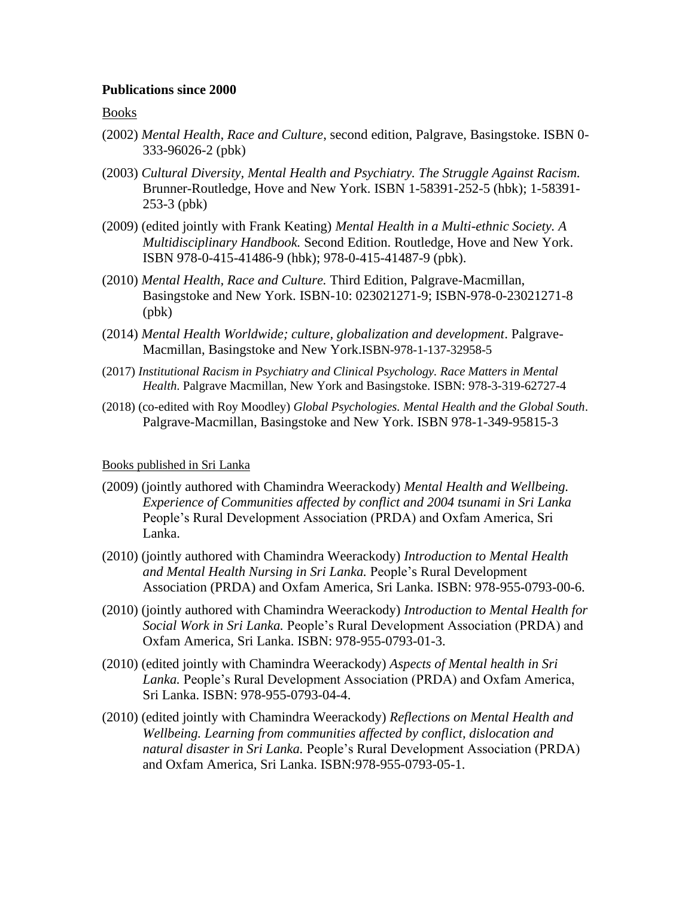# **Publications since 2000**

# Books

- (2002) *Mental Health, Race and Culture*, second edition, Palgrave, Basingstoke. ISBN 0- 333-96026-2 (pbk)
- (2003) *Cultural Diversity, Mental Health and Psychiatry. The Struggle Against Racism.*  Brunner-Routledge, Hove and New York. ISBN 1-58391-252-5 (hbk); 1-58391- 253-3 (pbk)
- (2009) (edited jointly with Frank Keating) *Mental Health in a Multi-ethnic Society. A Multidisciplinary Handbook.* Second Edition. Routledge, Hove and New York. ISBN 978-0-415-41486-9 (hbk); 978-0-415-41487-9 (pbk).
- (2010) *Mental Health, Race and Culture.* Third Edition, Palgrave-Macmillan, Basingstoke and New York. ISBN-10: 023021271-9; ISBN-978-0-23021271-8 (pbk)
- (2014) *Mental Health Worldwide; culture, globalization and development*. Palgrave-Macmillan, Basingstoke and New York.ISBN-978-1-137-32958-5
- (2017) *Institutional Racism in Psychiatry and Clinical Psychology. Race Matters in Mental Health*. Palgrave Macmillan, New York and Basingstoke. ISBN: 978-3-319-62727-4
- (2018) (co-edited with Roy Moodley) *Global Psychologies. Mental Health and the Global South*. Palgrave-Macmillan, Basingstoke and New York. ISBN 978-1-349-95815-3

## Books published in Sri Lanka

- (2009) (jointly authored with Chamindra Weerackody) *Mental Health and Wellbeing. Experience of Communities affected by conflict and 2004 tsunami in Sri Lanka*  People's Rural Development Association (PRDA) and Oxfam America, Sri Lanka.
- (2010) (jointly authored with Chamindra Weerackody) *Introduction to Mental Health and Mental Health Nursing in Sri Lanka.* People's Rural Development Association (PRDA) and Oxfam America, Sri Lanka. ISBN: 978-955-0793-00-6.
- (2010) (jointly authored with Chamindra Weerackody) *Introduction to Mental Health for Social Work in Sri Lanka.* People's Rural Development Association (PRDA) and Oxfam America, Sri Lanka. ISBN: 978-955-0793-01-3.
- (2010) (edited jointly with Chamindra Weerackody) *Aspects of Mental health in Sri Lanka.* People's Rural Development Association (PRDA) and Oxfam America, Sri Lanka. ISBN: 978-955-0793-04-4.
- (2010) (edited jointly with Chamindra Weerackody) *Reflections on Mental Health and Wellbeing. Learning from communities affected by conflict, dislocation and natural disaster in Sri Lanka.* People's Rural Development Association (PRDA) and Oxfam America, Sri Lanka. ISBN:978-955-0793-05-1.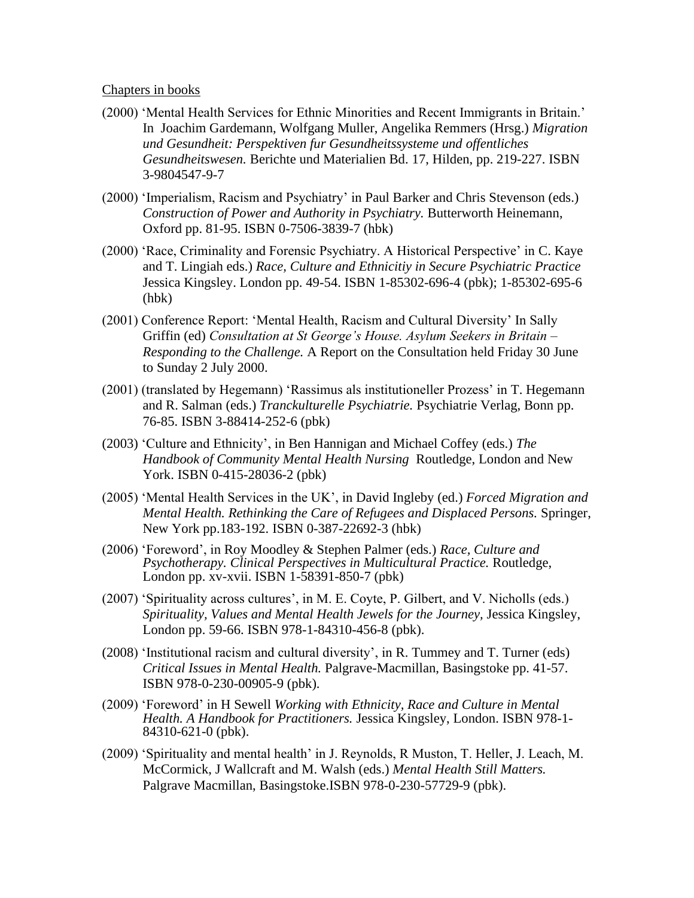### Chapters in books

- (2000) 'Mental Health Services for Ethnic Minorities and Recent Immigrants in Britain.' In Joachim Gardemann, Wolfgang Muller, Angelika Remmers (Hrsg.) *Migration und Gesundheit: Perspektiven fur Gesundheitssysteme und offentliches Gesundheitswesen.* Berichte und Materialien Bd. 17, Hilden, pp. 219-227. ISBN 3-9804547-9-7
- (2000) 'Imperialism, Racism and Psychiatry' in Paul Barker and Chris Stevenson (eds.) *Construction of Power and Authority in Psychiatry.* Butterworth Heinemann, Oxford pp. 81-95. ISBN 0-7506-3839-7 (hbk)
- (2000) 'Race, Criminality and Forensic Psychiatry. A Historical Perspective' in C. Kaye and T. Lingiah eds.) *Race, Culture and Ethnicitiy in Secure Psychiatric Practice*  Jessica Kingsley. London pp. 49-54. ISBN 1-85302-696-4 (pbk); 1-85302-695-6 (hbk)
- (2001) Conference Report: 'Mental Health, Racism and Cultural Diversity' In Sally Griffin (ed) *Consultation at St George's House. Asylum Seekers in Britain – Responding to the Challenge.* A Report on the Consultation held Friday 30 June to Sunday 2 July 2000.
- (2001) (translated by Hegemann) 'Rassimus als institutioneller Prozess' in T. Hegemann and R. Salman (eds.) *Tranckulturelle Psychiatrie.* Psychiatrie Verlag, Bonn pp. 76-85. ISBN 3-88414-252-6 (pbk)
- (2003) 'Culture and Ethnicity', in Ben Hannigan and Michael Coffey (eds.) *The Handbook of Community Mental Health Nursing* Routledge, London and New York. ISBN 0-415-28036-2 (pbk)
- (2005) 'Mental Health Services in the UK', in David Ingleby (ed.) *Forced Migration and Mental Health. Rethinking the Care of Refugees and Displaced Persons.* Springer, New York pp.183-192. ISBN 0-387-22692-3 (hbk)
- (2006) 'Foreword', in Roy Moodley & Stephen Palmer (eds.) *Race, Culture and Psychotherapy. Clinical Perspectives in Multicultural Practice.* Routledge, London pp. xv-xvii. ISBN 1-58391-850-7 (pbk)
- (2007) 'Spirituality across cultures', in M. E. Coyte, P. Gilbert, and V. Nicholls (eds.) *Spirituality, Values and Mental Health Jewels for the Journey,* Jessica Kingsley, London pp. 59-66. ISBN 978-1-84310-456-8 (pbk).
- (2008) 'Institutional racism and cultural diversity', in R. Tummey and T. Turner (eds) *Critical Issues in Mental Health.* Palgrave-Macmillan, Basingstoke pp. 41-57. ISBN 978-0-230-00905-9 (pbk).
- (2009) 'Foreword' in H Sewell *Working with Ethnicity, Race and Culture in Mental Health. A Handbook for Practitioners.* Jessica Kingsley, London. ISBN 978-1- 84310-621-0 (pbk).
- (2009) 'Spirituality and mental health' in J. Reynolds, R Muston, T. Heller, J. Leach, M. McCormick, J Wallcraft and M. Walsh (eds.) *Mental Health Still Matters.* Palgrave Macmillan, Basingstoke.ISBN 978-0-230-57729-9 (pbk).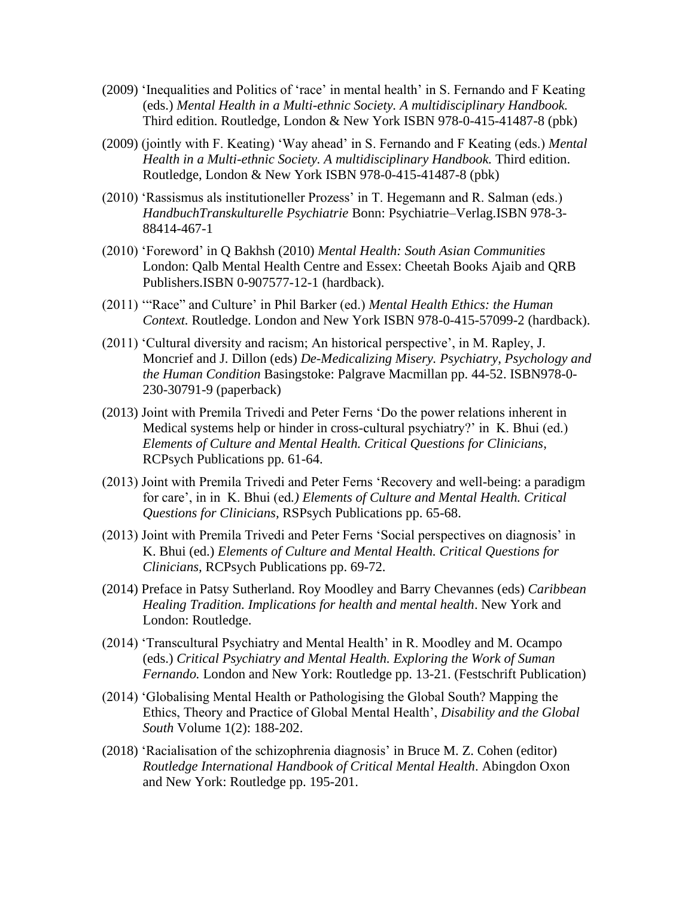- (2009) 'Inequalities and Politics of 'race' in mental health' in S. Fernando and F Keating (eds.) *Mental Health in a Multi-ethnic Society. A multidisciplinary Handbook.*  Third edition. Routledge, London & New York ISBN 978-0-415-41487-8 (pbk)
- (2009) (jointly with F. Keating) 'Way ahead' in S. Fernando and F Keating (eds.) *Mental Health in a Multi-ethnic Society. A multidisciplinary Handbook.* Third edition. Routledge, London & New York ISBN 978-0-415-41487-8 (pbk)
- (2010) 'Rassismus als institutioneller Prozess' in T. Hegemann and R. Salman (eds.) *HandbuchTranskulturelle Psychiatrie* Bonn: Psychiatrie–Verlag.ISBN 978-3- 88414-467-1
- (2010) 'Foreword' in Q Bakhsh (2010) *Mental Health: South Asian Communities*  London: Qalb Mental Health Centre and Essex: Cheetah Books Ajaib and QRB Publishers.ISBN 0-907577-12-1 (hardback).
- (2011) '"Race" and Culture' in Phil Barker (ed.) *Mental Health Ethics: the Human Context.* Routledge. London and New York ISBN 978-0-415-57099-2 (hardback).
- (2011) 'Cultural diversity and racism; An historical perspective', in M. Rapley, J. Moncrief and J. Dillon (eds) *De-Medicalizing Misery. Psychiatry, Psychology and the Human Condition* Basingstoke: Palgrave Macmillan pp. 44-52. ISBN978-0- 230-30791-9 (paperback)
- (2013) Joint with Premila Trivedi and Peter Ferns 'Do the power relations inherent in Medical systems help or hinder in cross-cultural psychiatry?' in K. Bhui (ed.) *Elements of Culture and Mental Health. Critical Questions for Clinicians*, RCPsych Publications pp. 61-64.
- (2013) Joint with Premila Trivedi and Peter Ferns 'Recovery and well-being: a paradigm for care', in in K. Bhui (ed*.) Elements of Culture and Mental Health. Critical Questions for Clinicians,* RSPsych Publications pp. 65-68.
- (2013) Joint with Premila Trivedi and Peter Ferns 'Social perspectives on diagnosis' in K. Bhui (ed.) *Elements of Culture and Mental Health. Critical Questions for Clinicians,* RCPsych Publications pp. 69-72.
- (2014) Preface in Patsy Sutherland. Roy Moodley and Barry Chevannes (eds) *Caribbean Healing Tradition. Implications for health and mental health*. New York and London: Routledge.
- (2014) 'Transcultural Psychiatry and Mental Health' in R. Moodley and M. Ocampo (eds.) *Critical Psychiatry and Mental Health. Exploring the Work of Suman Fernando.* London and New York: Routledge pp. 13-21. (Festschrift Publication)
- (2014) 'Globalising Mental Health or Pathologising the Global South? Mapping the Ethics, Theory and Practice of Global Mental Health', *Disability and the Global South* Volume 1(2): 188-202.
- (2018) 'Racialisation of the schizophrenia diagnosis' in Bruce M. Z. Cohen (editor) *Routledge International Handbook of Critical Mental Health*. Abingdon Oxon and New York: Routledge pp. 195-201.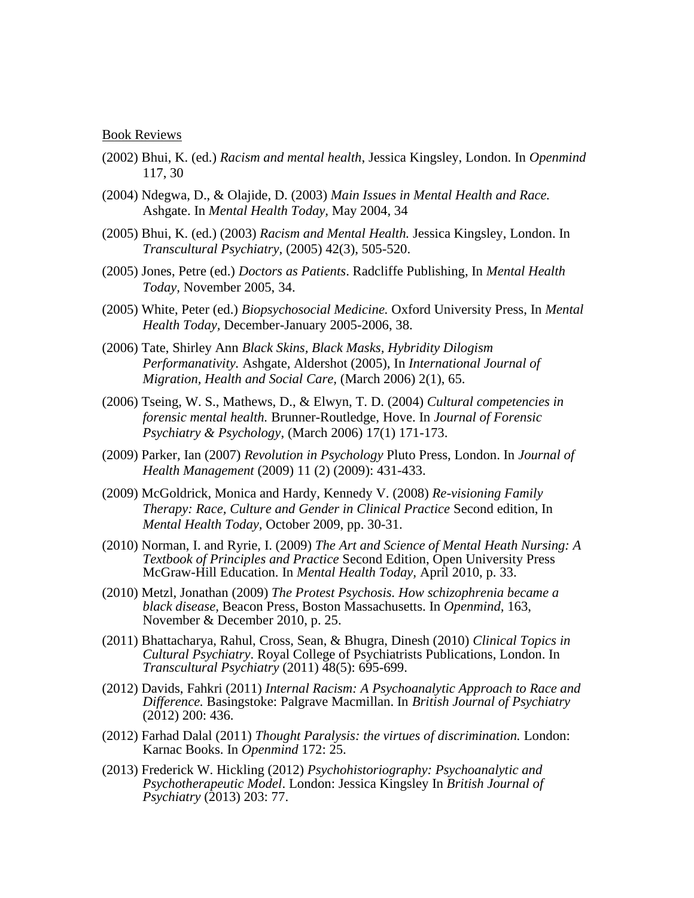#### Book Reviews

- (2002) Bhui, K. (ed.) *Racism and mental health*, Jessica Kingsley, London. In *Openmind* 117, 30
- (2004) Ndegwa, D., & Olajide, D. (2003) *Main Issues in Mental Health and Race.*  Ashgate. In *Mental Health Today,* May 2004, 34
- (2005) Bhui, K. (ed.) (2003) *Racism and Mental Health.* Jessica Kingsley, London. In *Transcultural Psychiatry,* (2005) 42(3), 505-520.
- (2005) Jones, Petre (ed.) *Doctors as Patients*. Radcliffe Publishing, In *Mental Health Today,* November 2005, 34.
- (2005) White, Peter (ed.) *Biopsychosocial Medicine.* Oxford University Press, In *Mental Health Today,* December-January 2005-2006, 38.
- (2006) Tate, Shirley Ann *Black Skins, Black Masks, Hybridity Dilogism Performanativity.* Ashgate, Aldershot (2005), In *International Journal of Migration, Health and Social Care,* (March 2006) 2(1), 65.
- (2006) Tseing, W. S., Mathews, D., & Elwyn, T. D. (2004) *Cultural competencies in forensic mental health.* Brunner-Routledge, Hove. In *Journal of Forensic Psychiatry & Psychology*, (March 2006) 17(1) 171-173.
- (2009) Parker, Ian (2007) *Revolution in Psychology* Pluto Press, London. In *Journal of Health Management* (2009) 11 (2) (2009): 431-433.
- (2009) McGoldrick, Monica and Hardy, Kennedy V. (2008) *Re-visioning Family Therapy: Race, Culture and Gender in Clinical Practice* Second edition, In *Mental Health Today,* October 2009, pp. 30-31.
- (2010) Norman, I. and Ryrie, I. (2009) *The Art and Science of Mental Heath Nursing: A Textbook of Principles and Practice* Second Edition, Open University Press McGraw-Hill Education. In *Mental Health Today,* April 2010, p. 33.
- (2010) Metzl, Jonathan (2009) *The Protest Psychosis. How schizophrenia became a black disease,* Beacon Press, Boston Massachusetts. In *Openmind,* 163, November & December 2010, p. 25.
- (2011) Bhattacharya, Rahul, Cross, Sean, & Bhugra, Dinesh (2010) *Clinical Topics in Cultural Psychiatry*. Royal College of Psychiatrists Publications, London. In *Transcultural Psychiatry* (2011) 48(5): 695-699.
- (2012) Davids, Fahkri (2011) *Internal Racism: A Psychoanalytic Approach to Race and Difference.* Basingstoke: Palgrave Macmillan. In *British Journal of Psychiatry*  (2012) 200: 436.
- (2012) Farhad Dalal (2011) *Thought Paralysis: the virtues of discrimination.* London: Karnac Books. In *Openmind* 172: 25.
- (2013) Frederick W. Hickling (2012) *Psychohistoriography: Psychoanalytic and Psychotherapeutic Model*. London: Jessica Kingsley In *British Journal of Psychiatry* (2013) 203: 77.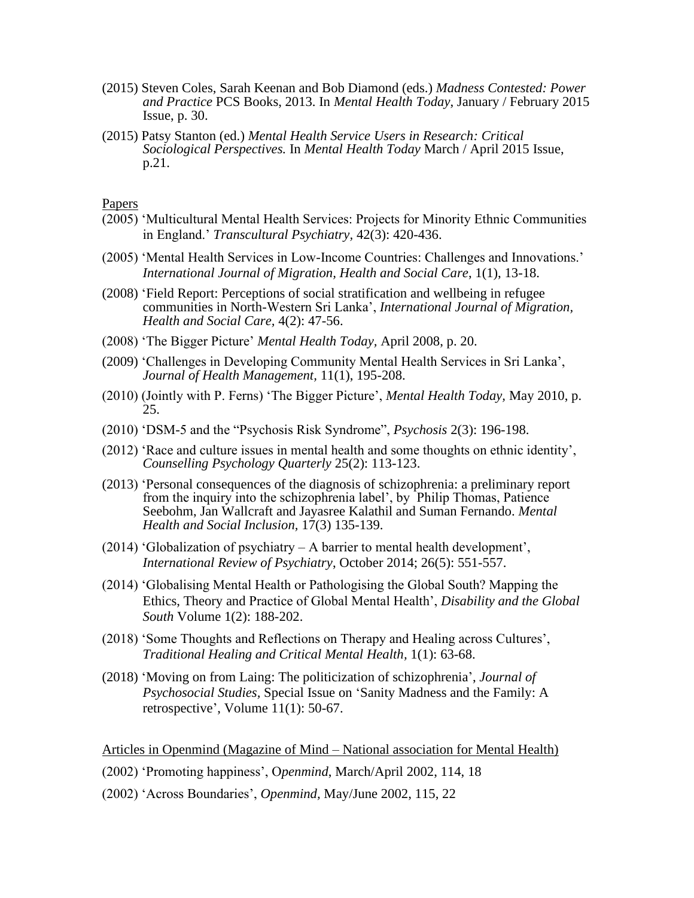- (2015) Steven Coles, Sarah Keenan and Bob Diamond (eds.) *Madness Contested: Power and Practice* PCS Books, 2013. In *Mental Health Today*, January / February 2015 Issue, p. 30.
- (2015) Patsy Stanton (ed.) *Mental Health Service Users in Research: Critical Sociological Perspectives.* In *Mental Health Today* March / April 2015 Issue, p.21.

**Papers** 

- (2005) 'Multicultural Mental Health Services: Projects for Minority Ethnic Communities in England.' *Transcultural Psychiatry,* 42(3): 420-436.
- (2005) 'Mental Health Services in Low-Income Countries: Challenges and Innovations.' *International Journal of Migration, Health and Social Care*, 1(1), 13-18.
- (2008) 'Field Report: Perceptions of social stratification and wellbeing in refugee communities in North-Western Sri Lanka', *International Journal of Migration, Health and Social Care,* 4(2): 47-56.
- (2008) 'The Bigger Picture' *Mental Health Today,* April 2008, p. 20.
- (2009) 'Challenges in Developing Community Mental Health Services in Sri Lanka', *Journal of Health Management,* 11(1), 195-208.
- (2010) (Jointly with P. Ferns) 'The Bigger Picture', *Mental Health Today,* May 2010, p. 25.
- (2010) 'DSM-5 and the "Psychosis Risk Syndrome", *Psychosis* 2(3): 196-198.
- (2012) 'Race and culture issues in mental health and some thoughts on ethnic identity', *Counselling Psychology Quarterly* 25(2): 113-123.
- (2013) 'Personal consequences of the diagnosis of schizophrenia: a preliminary report from the inquiry into the schizophrenia label', by Philip Thomas, Patience Seebohm, Jan Wallcraft and Jayasree Kalathil and Suman Fernando. *Mental Health and Social Inclusion,* 17(3) 135-139.
- (2014) 'Globalization of psychiatry A barrier to mental health development', *International Review of Psychiatry*, October 2014; 26(5): 551-557.
- (2014) 'Globalising Mental Health or Pathologising the Global South? Mapping the Ethics, Theory and Practice of Global Mental Health', *Disability and the Global South* Volume 1(2): 188-202.
- (2018) 'Some Thoughts and Reflections on Therapy and Healing across Cultures', *Traditional Healing and Critical Mental Health,* 1(1): 63-68.
- (2018) 'Moving on from Laing: The politicization of schizophrenia', *Journal of Psychosocial Studies,* Special Issue on 'Sanity Madness and the Family: A retrospective', Volume 11(1): 50-67.

Articles in Openmind (Magazine of Mind – National association for Mental Health)

- (2002) 'Promoting happiness', O*penmind*, March/April 2002, 114, 18
- (2002) 'Across Boundaries', *Openmind,* May/June 2002, 115, 22